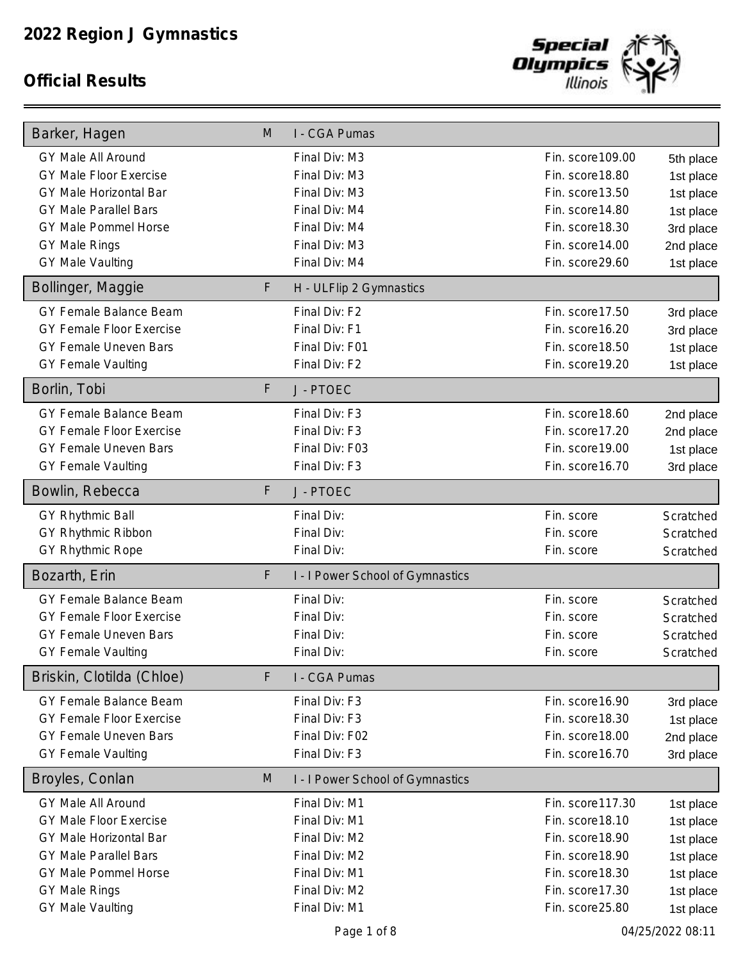

| Barker, Hagen                   | M | I - CGA Pumas                    |                   |                  |
|---------------------------------|---|----------------------------------|-------------------|------------------|
| <b>GY Male All Around</b>       |   | Final Div: M3                    | Fin. score 109.00 | 5th place        |
| <b>GY Male Floor Exercise</b>   |   | Final Div: M3                    | Fin. score 18.80  | 1st place        |
| GY Male Horizontal Bar          |   | Final Div: M3                    | Fin. score13.50   | 1st place        |
| <b>GY Male Parallel Bars</b>    |   | Final Div: M4                    | Fin. score14.80   | 1st place        |
| GY Male Pommel Horse            |   | Final Div: M4                    | Fin. score 18.30  | 3rd place        |
| <b>GY Male Rings</b>            |   | Final Div: M3                    | Fin. score 14.00  | 2nd place        |
| <b>GY Male Vaulting</b>         |   | Final Div: M4                    | Fin. score29.60   | 1st place        |
| Bollinger, Maggie               | F | H - ULFlip 2 Gymnastics          |                   |                  |
| GY Female Balance Beam          |   | Final Div: F2                    | Fin. score 17.50  | 3rd place        |
| <b>GY Female Floor Exercise</b> |   | Final Div: F1                    | Fin. score 16.20  | 3rd place        |
| GY Female Uneven Bars           |   | Final Div: F01                   | Fin. score 18.50  | 1st place        |
| <b>GY Female Vaulting</b>       |   | Final Div: F2                    | Fin. score 19.20  | 1st place        |
| Borlin, Tobi                    | F | J - PTOEC                        |                   |                  |
| GY Female Balance Beam          |   | Final Div: F3                    | Fin. score 18.60  | 2nd place        |
| <b>GY Female Floor Exercise</b> |   | Final Div: F3                    | Fin. score 17.20  | 2nd place        |
| GY Female Uneven Bars           |   | Final Div: F03                   | Fin. score 19.00  | 1st place        |
| <b>GY Female Vaulting</b>       |   | Final Div: F3                    | Fin. score 16.70  | 3rd place        |
| Bowlin, Rebecca                 | F | J - PTOEC                        |                   |                  |
| GY Rhythmic Ball                |   | Final Div:                       | Fin. score        | Scratched        |
| GY Rhythmic Ribbon              |   | Final Div:                       | Fin. score        | Scratched        |
| GY Rhythmic Rope                |   | Final Div:                       | Fin. score        | Scratched        |
| Bozarth, Erin                   | F | I - I Power School of Gymnastics |                   |                  |
| GY Female Balance Beam          |   | Final Div:                       | Fin. score        | Scratched        |
| <b>GY Female Floor Exercise</b> |   | Final Div:                       | Fin. score        | Scratched        |
| <b>GY Female Uneven Bars</b>    |   | Final Div:                       | Fin. score        | Scratched        |
| <b>GY Female Vaulting</b>       |   | Final Div:                       | Fin. score        | Scratched        |
| Briskin, Clotilda (Chloe)       | F | I - CGA Pumas                    |                   |                  |
| GY Female Balance Beam          |   | Final Div: F3                    | Fin. score 16.90  | 3rd place        |
| GY Female Floor Exercise        |   | Final Div: F3                    | Fin. score 18.30  | 1st place        |
| GY Female Uneven Bars           |   | Final Div: F02                   | Fin. score 18.00  | 2nd place        |
| <b>GY Female Vaulting</b>       |   | Final Div: F3                    | Fin. score 16.70  | 3rd place        |
| Broyles, Conlan                 | M | I - I Power School of Gymnastics |                   |                  |
| GY Male All Around              |   | Final Div: M1                    | Fin. score 117.30 | 1st place        |
| <b>GY Male Floor Exercise</b>   |   | Final Div: M1                    | Fin. score 18.10  | 1st place        |
| <b>GY Male Horizontal Bar</b>   |   | Final Div: M2                    | Fin. score 18.90  | 1st place        |
| <b>GY Male Parallel Bars</b>    |   | Final Div: M2                    | Fin. score 18.90  | 1st place        |
| GY Male Pommel Horse            |   | Final Div: M1                    | Fin. score 18.30  | 1st place        |
| <b>GY Male Rings</b>            |   | Final Div: M2                    | Fin. score17.30   | 1st place        |
| <b>GY Male Vaulting</b>         |   | Final Div: M1                    | Fin. score25.80   | 1st place        |
|                                 |   | Page 1 of 8                      |                   | 04/25/2022 08:11 |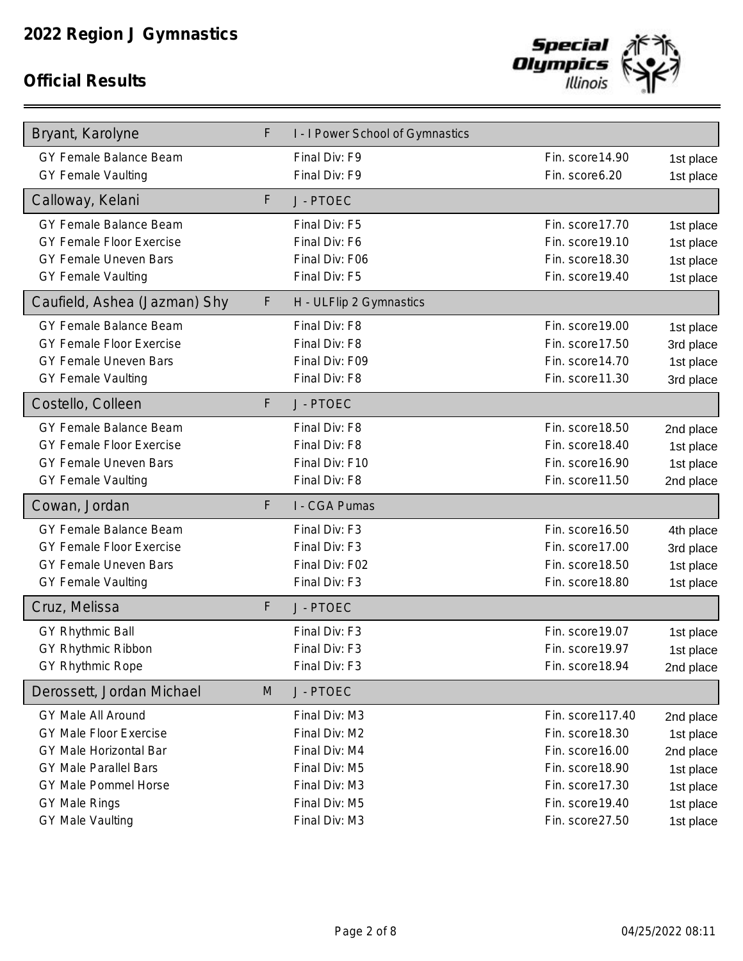

| Bryant, Karolyne                | F | I - I Power School of Gymnastics |                   |           |
|---------------------------------|---|----------------------------------|-------------------|-----------|
| GY Female Balance Beam          |   | Final Div: F9                    | Fin. score 14.90  | 1st place |
| <b>GY Female Vaulting</b>       |   | Final Div: F9                    | Fin. score6.20    | 1st place |
| Calloway, Kelani                | F | J - PTOEC                        |                   |           |
| GY Female Balance Beam          |   | Final Div: F5                    | Fin. score 17.70  | 1st place |
| <b>GY Female Floor Exercise</b> |   | Final Div: F6                    | Fin. score 19.10  | 1st place |
| <b>GY Female Uneven Bars</b>    |   | Final Div: F06                   | Fin. score 18.30  | 1st place |
| <b>GY Female Vaulting</b>       |   | Final Div: F5                    | Fin. score 19.40  | 1st place |
| Caufield, Ashea (Jazman) Shy    | F | H - ULFlip 2 Gymnastics          |                   |           |
| GY Female Balance Beam          |   | Final Div: F8                    | Fin. score 19.00  | 1st place |
| <b>GY Female Floor Exercise</b> |   | Final Div: F8                    | Fin. score17.50   | 3rd place |
| <b>GY Female Uneven Bars</b>    |   | Final Div: F09                   | Fin. score 14.70  | 1st place |
| <b>GY Female Vaulting</b>       |   | Final Div: F8                    | Fin. score11.30   | 3rd place |
| Costello, Colleen               | F | J - PTOEC                        |                   |           |
| GY Female Balance Beam          |   | Final Div: F8                    | Fin. score 18.50  | 2nd place |
| <b>GY Female Floor Exercise</b> |   | Final Div: F8                    | Fin. score 18.40  | 1st place |
| <b>GY Female Uneven Bars</b>    |   | Final Div: F10                   | Fin. score 16.90  | 1st place |
| <b>GY Female Vaulting</b>       |   | Final Div: F8                    | Fin. score11.50   | 2nd place |
| Cowan, Jordan                   | F | I - CGA Pumas                    |                   |           |
| GY Female Balance Beam          |   | Final Div: F3                    | Fin. score 16.50  | 4th place |
| <b>GY Female Floor Exercise</b> |   | Final Div: F3                    | Fin. score17.00   | 3rd place |
| GY Female Uneven Bars           |   | Final Div: F02                   | Fin. score 18.50  | 1st place |
| <b>GY Female Vaulting</b>       |   | Final Div: F3                    | Fin. score 18.80  | 1st place |
| Cruz, Melissa                   | F | J - PTOEC                        |                   |           |
| <b>GY Rhythmic Ball</b>         |   | Final Div: F3                    | Fin. score 19.07  | 1st place |
| GY Rhythmic Ribbon              |   | Final Div: F3                    | Fin. score 19.97  | 1st place |
| GY Rhythmic Rope                |   | Final Div: F3                    | Fin. score 18.94  | 2nd place |
| Derossett, Jordan Michael       | M | J - PTOEC                        |                   |           |
| <b>GY Male All Around</b>       |   | Final Div: M3                    | Fin. score 117.40 | 2nd place |
| <b>GY Male Floor Exercise</b>   |   | Final Div: M2                    | Fin. score 18.30  | 1st place |
| GY Male Horizontal Bar          |   | Final Div: M4                    | Fin. score 16.00  | 2nd place |
| <b>GY Male Parallel Bars</b>    |   | Final Div: M5                    | Fin. score 18.90  | 1st place |
| GY Male Pommel Horse            |   | Final Div: M3                    | Fin. score 17.30  | 1st place |
| GY Male Rings                   |   | Final Div: M5                    | Fin. score 19.40  | 1st place |
| GY Male Vaulting                |   | Final Div: M3                    | Fin. score27.50   | 1st place |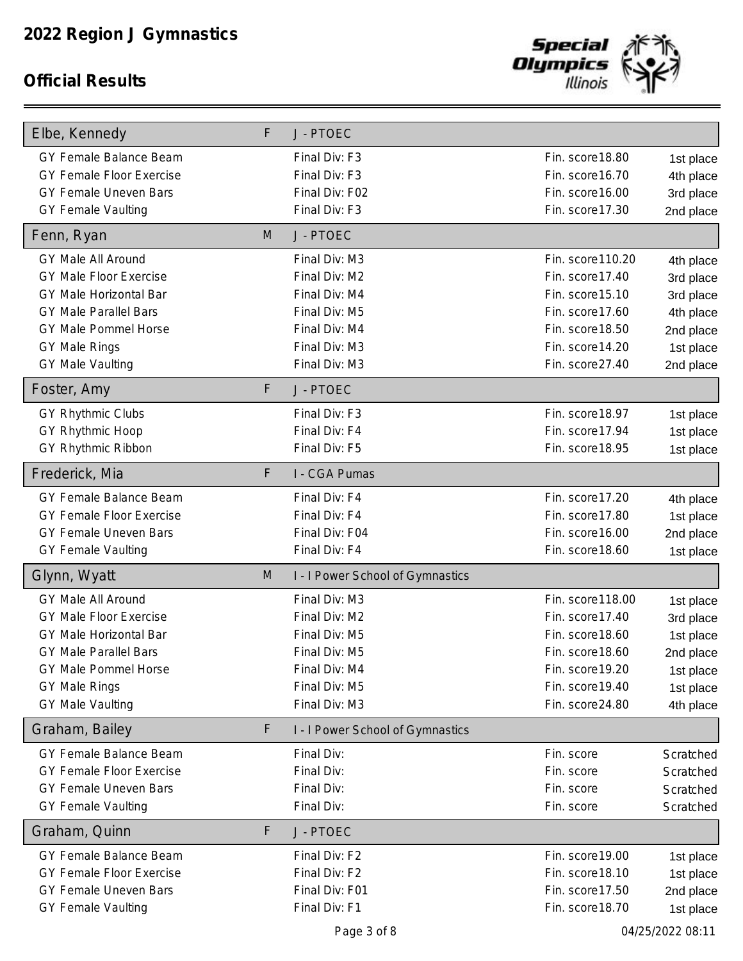

| Elbe, Kennedy                   | F | J - PTOEC                        |                   |                  |
|---------------------------------|---|----------------------------------|-------------------|------------------|
| GY Female Balance Beam          |   | Final Div: F3                    | Fin. score 18.80  | 1st place        |
| <b>GY Female Floor Exercise</b> |   | Final Div: F3                    | Fin. score 16.70  | 4th place        |
| GY Female Uneven Bars           |   | Final Div: F02                   | Fin. score 16.00  | 3rd place        |
| <b>GY Female Vaulting</b>       |   | Final Div: F3                    | Fin. score 17.30  | 2nd place        |
| Fenn, Ryan                      | M | J - PTOEC                        |                   |                  |
| <b>GY Male All Around</b>       |   | Final Div: M3                    | Fin. score 110.20 | 4th place        |
| <b>GY Male Floor Exercise</b>   |   | Final Div: M2                    | Fin. score 17.40  | 3rd place        |
| GY Male Horizontal Bar          |   | Final Div: M4                    | Fin. score 15.10  | 3rd place        |
| <b>GY Male Parallel Bars</b>    |   | Final Div: M5                    | Fin. score17.60   | 4th place        |
| GY Male Pommel Horse            |   | Final Div: M4                    | Fin. score 18.50  | 2nd place        |
| <b>GY Male Rings</b>            |   | Final Div: M3                    | Fin. score14.20   | 1st place        |
| <b>GY Male Vaulting</b>         |   | Final Div: M3                    | Fin. score27.40   | 2nd place        |
| Foster, Amy                     | F | J - PTOEC                        |                   |                  |
| <b>GY Rhythmic Clubs</b>        |   | Final Div: F3                    | Fin. score 18.97  | 1st place        |
| GY Rhythmic Hoop                |   | Final Div: F4                    | Fin. score17.94   | 1st place        |
| GY Rhythmic Ribbon              |   | Final Div: F5                    | Fin. score 18.95  | 1st place        |
| Frederick, Mia                  | F | I - CGA Pumas                    |                   |                  |
| GY Female Balance Beam          |   | Final Div: F4                    | Fin. score 17.20  | 4th place        |
| <b>GY Female Floor Exercise</b> |   | Final Div: F4                    | Fin. score17.80   | 1st place        |
| GY Female Uneven Bars           |   | Final Div: F04                   | Fin. score 16.00  | 2nd place        |
| <b>GY Female Vaulting</b>       |   | Final Div: F4                    | Fin. score 18.60  | 1st place        |
| Glynn, Wyatt                    | M | I - I Power School of Gymnastics |                   |                  |
| GY Male All Around              |   | Final Div: M3                    | Fin. score 118.00 | 1st place        |
| <b>GY Male Floor Exercise</b>   |   | Final Div: M2                    | Fin. score 17.40  | 3rd place        |
| <b>GY Male Horizontal Bar</b>   |   | Final Div: M5                    | Fin. score 18.60  | 1st place        |
| <b>GY Male Parallel Bars</b>    |   | Final Div: M5                    | Fin. score 18.60  | 2nd place        |
| GY Male Pommel Horse            |   | Final Div: M4                    | Fin. score 19.20  | 1st place        |
| <b>GY Male Rings</b>            |   | Final Div: M5                    | Fin. score 19.40  | 1st place        |
| <b>GY Male Vaulting</b>         |   | Final Div: M3                    | Fin. score24.80   | 4th place        |
| Graham, Bailey                  | F | I - I Power School of Gymnastics |                   |                  |
| GY Female Balance Beam          |   | Final Div:                       | Fin. score        | Scratched        |
| <b>GY Female Floor Exercise</b> |   | Final Div:                       | Fin. score        | Scratched        |
| GY Female Uneven Bars           |   | Final Div:                       | Fin. score        | Scratched        |
| <b>GY Female Vaulting</b>       |   | Final Div:                       | Fin. score        | Scratched        |
| Graham, Quinn                   | F | J - PTOEC                        |                   |                  |
| GY Female Balance Beam          |   | Final Div: F2                    | Fin. score 19.00  | 1st place        |
| GY Female Floor Exercise        |   | Final Div: F2                    | Fin. score 18.10  | 1st place        |
| GY Female Uneven Bars           |   | Final Div: F01                   | Fin. score17.50   | 2nd place        |
| <b>GY Female Vaulting</b>       |   | Final Div: F1                    | Fin. score 18.70  | 1st place        |
|                                 |   | Page 3 of 8                      |                   | 04/25/2022 08:11 |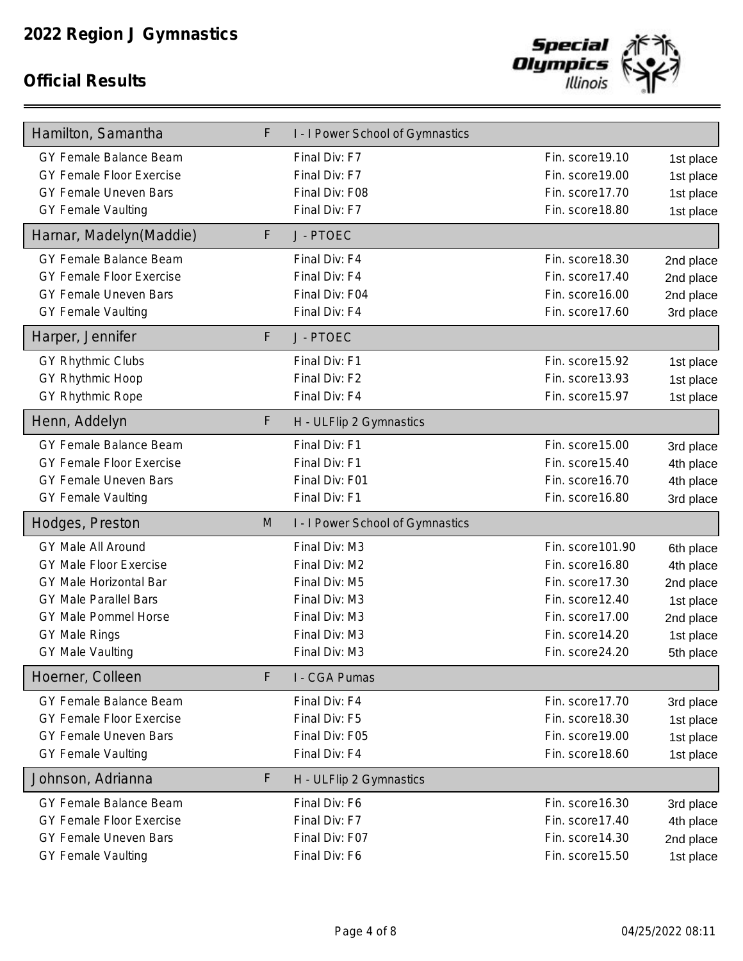

| Hamilton, Samantha                                                                                                                                                                       | F  | I - I Power School of Gymnastics                                                                                    |                                                                                                                                        |                                                                                         |
|------------------------------------------------------------------------------------------------------------------------------------------------------------------------------------------|----|---------------------------------------------------------------------------------------------------------------------|----------------------------------------------------------------------------------------------------------------------------------------|-----------------------------------------------------------------------------------------|
| GY Female Balance Beam<br>GY Female Floor Exercise<br>GY Female Uneven Bars<br><b>GY Female Vaulting</b>                                                                                 |    | Final Div: F7<br>Final Div: F7<br>Final Div: F08<br>Final Div: F7                                                   | Fin. score 19.10<br>Fin. score 19.00<br>Fin. score17.70<br>Fin. score 18.80                                                            | 1st place<br>1st place<br>1st place<br>1st place                                        |
| Harnar, Madelyn(Maddie)                                                                                                                                                                  | F  | J - PTOEC                                                                                                           |                                                                                                                                        |                                                                                         |
| GY Female Balance Beam<br>GY Female Floor Exercise<br><b>GY Female Uneven Bars</b><br><b>GY Female Vaulting</b><br>Harper, Jennifer                                                      | F  | Final Div: F4<br>Final Div: F4<br>Final Div: F04<br>Final Div: F4<br>J - PTOEC                                      | Fin. score 18.30<br>Fin. score 17.40<br>Fin. score 16.00<br>Fin. score17.60                                                            | 2nd place<br>2nd place<br>2nd place<br>3rd place                                        |
| <b>GY Rhythmic Clubs</b>                                                                                                                                                                 |    | Final Div: F1                                                                                                       | Fin. score 15.92                                                                                                                       | 1st place                                                                               |
| GY Rhythmic Hoop<br><b>GY Rhythmic Rope</b>                                                                                                                                              |    | Final Div: F2<br>Final Div: F4                                                                                      | Fin. score13.93<br>Fin. score15.97                                                                                                     | 1st place<br>1st place                                                                  |
| Henn, Addelyn                                                                                                                                                                            | F. | H - ULFlip 2 Gymnastics                                                                                             |                                                                                                                                        |                                                                                         |
| GY Female Balance Beam<br>GY Female Floor Exercise<br>GY Female Uneven Bars<br><b>GY Female Vaulting</b>                                                                                 |    | Final Div: F1<br>Final Div: F1<br>Final Div: F01<br>Final Div: F1                                                   | Fin. score15.00<br>Fin. score 15.40<br>Fin. score 16.70<br>Fin. score 16.80                                                            | 3rd place<br>4th place<br>4th place<br>3rd place                                        |
| Hodges, Preston                                                                                                                                                                          | M  | I - I Power School of Gymnastics                                                                                    |                                                                                                                                        |                                                                                         |
| GY Male All Around<br><b>GY Male Floor Exercise</b><br>GY Male Horizontal Bar<br><b>GY Male Parallel Bars</b><br>GY Male Pommel Horse<br><b>GY Male Rings</b><br><b>GY Male Vaulting</b> |    | Final Div: M3<br>Final Div: M2<br>Final Div: M5<br>Final Div: M3<br>Final Div: M3<br>Final Div: M3<br>Final Div: M3 | Fin. score 101.90<br>Fin. score 16.80<br>Fin. score17.30<br>Fin. score 12.40<br>Fin. score17.00<br>Fin. score 14.20<br>Fin. score24.20 | 6th place<br>4th place<br>2nd place<br>1st place<br>2nd place<br>1st place<br>5th place |
| Hoerner, Colleen                                                                                                                                                                         | F  | I - CGA Pumas                                                                                                       |                                                                                                                                        |                                                                                         |
| GY Female Balance Beam<br><b>GY Female Floor Exercise</b><br>GY Female Uneven Bars<br><b>GY Female Vaulting</b>                                                                          |    | Final Div: F4<br>Final Div: F5<br>Final Div: F05<br>Final Div: F4                                                   | Fin. score17.70<br>Fin. score 18.30<br>Fin. score 19.00<br>Fin. score 18.60                                                            | 3rd place<br>1st place<br>1st place<br>1st place                                        |
| Johnson, Adrianna                                                                                                                                                                        | F  | H - ULFlip 2 Gymnastics                                                                                             |                                                                                                                                        |                                                                                         |
| GY Female Balance Beam<br><b>GY Female Floor Exercise</b><br>GY Female Uneven Bars<br><b>GY Female Vaulting</b>                                                                          |    | Final Div: F6<br>Final Div: F7<br>Final Div: F07<br>Final Div: F6                                                   | Fin. score 16.30<br>Fin. score17.40<br>Fin. score14.30<br>Fin. score 15.50                                                             | 3rd place<br>4th place<br>2nd place<br>1st place                                        |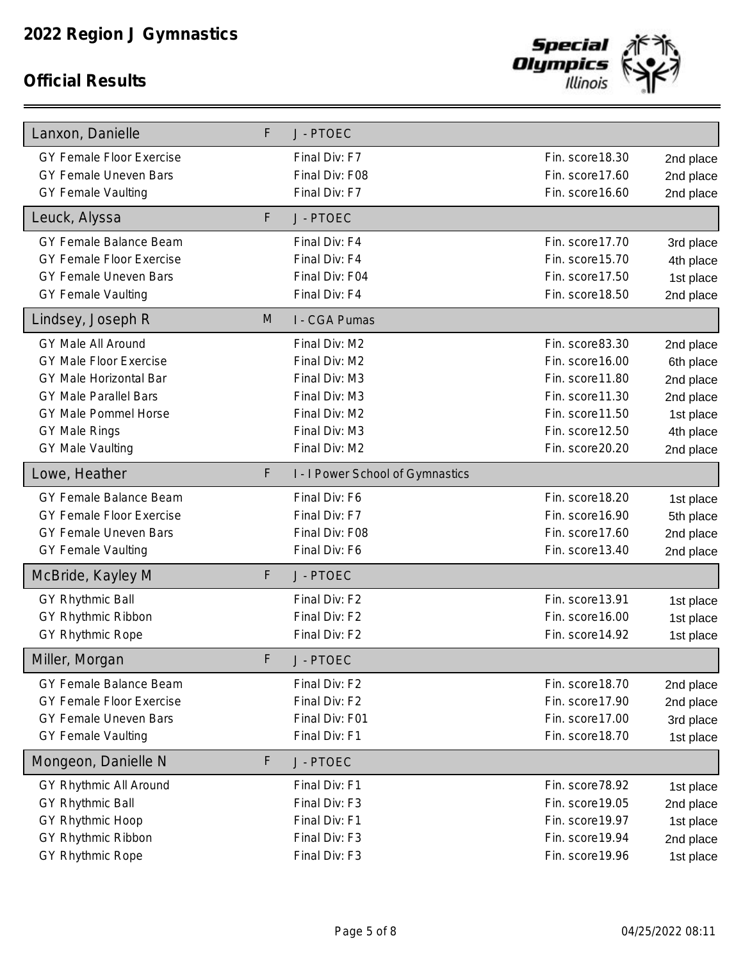

| Lanxon, Danielle                | F. | J - PTOEC                        |                  |           |
|---------------------------------|----|----------------------------------|------------------|-----------|
| <b>GY Female Floor Exercise</b> |    | Final Div: F7                    | Fin. score 18.30 | 2nd place |
| GY Female Uneven Bars           |    | Final Div: F08                   | Fin. score17.60  | 2nd place |
| <b>GY Female Vaulting</b>       |    | Final Div: F7                    | Fin. score 16.60 | 2nd place |
| Leuck, Alyssa                   | F  | J - PTOEC                        |                  |           |
| GY Female Balance Beam          |    | Final Div: F4                    | Fin. score 17.70 | 3rd place |
| <b>GY Female Floor Exercise</b> |    | Final Div: F4                    | Fin. score 15.70 | 4th place |
| <b>GY Female Uneven Bars</b>    |    | Final Div: F04                   | Fin. score17.50  | 1st place |
| <b>GY Female Vaulting</b>       |    | Final Div: F4                    | Fin. score 18.50 | 2nd place |
| Lindsey, Joseph R               | M  | I - CGA Pumas                    |                  |           |
| GY Male All Around              |    | Final Div: M2                    | Fin. score83.30  | 2nd place |
| <b>GY Male Floor Exercise</b>   |    | Final Div: M2                    | Fin. score 16.00 | 6th place |
| <b>GY Male Horizontal Bar</b>   |    | Final Div: M3                    | Fin. score11.80  | 2nd place |
| <b>GY Male Parallel Bars</b>    |    | Final Div: M3                    | Fin. score11.30  | 2nd place |
| GY Male Pommel Horse            |    | Final Div: M2                    | Fin. score11.50  | 1st place |
| <b>GY Male Rings</b>            |    | Final Div: M3                    | Fin. score 12.50 | 4th place |
| <b>GY Male Vaulting</b>         |    | Final Div: M2                    | Fin. score20.20  | 2nd place |
| Lowe, Heather                   | F  | I - I Power School of Gymnastics |                  |           |
| GY Female Balance Beam          |    | Final Div: F6                    | Fin. score 18.20 | 1st place |
| <b>GY Female Floor Exercise</b> |    | Final Div: F7                    | Fin. score 16.90 | 5th place |
| <b>GY Female Uneven Bars</b>    |    | Final Div: F08                   | Fin. score17.60  | 2nd place |
| <b>GY Female Vaulting</b>       |    | Final Div: F6                    | Fin. score13.40  | 2nd place |
| McBride, Kayley M               | F  | J - PTOEC                        |                  |           |
| <b>GY Rhythmic Ball</b>         |    | Final Div: F2                    | Fin. score13.91  | 1st place |
| GY Rhythmic Ribbon              |    | Final Div: F2                    | Fin. score 16.00 | 1st place |
| GY Rhythmic Rope                |    | Final Div: F2                    | Fin. score14.92  | 1st place |
| Miller, Morgan                  | F  | J - PTOEC                        |                  |           |
| GY Female Balance Beam          |    | Final Div: F2                    | Fin. score 18.70 | 2nd place |
| <b>GY Female Floor Exercise</b> |    | Final Div: F2                    | Fin. score17.90  | 2nd place |
| GY Female Uneven Bars           |    | Final Div: F01                   | Fin. score17.00  | 3rd place |
| <b>GY Female Vaulting</b>       |    | Final Div: F1                    | Fin. score 18.70 | 1st place |
| Mongeon, Danielle N             | F  | J - PTOEC                        |                  |           |
| GY Rhythmic All Around          |    | Final Div: F1                    | Fin. score78.92  | 1st place |
| GY Rhythmic Ball                |    | Final Div: F3                    | Fin. score 19.05 | 2nd place |
| GY Rhythmic Hoop                |    | Final Div: F1                    | Fin. score 19.97 | 1st place |
| GY Rhythmic Ribbon              |    | Final Div: F3                    | Fin. score 19.94 | 2nd place |
| GY Rhythmic Rope                |    | Final Div: F3                    | Fin. score 19.96 | 1st place |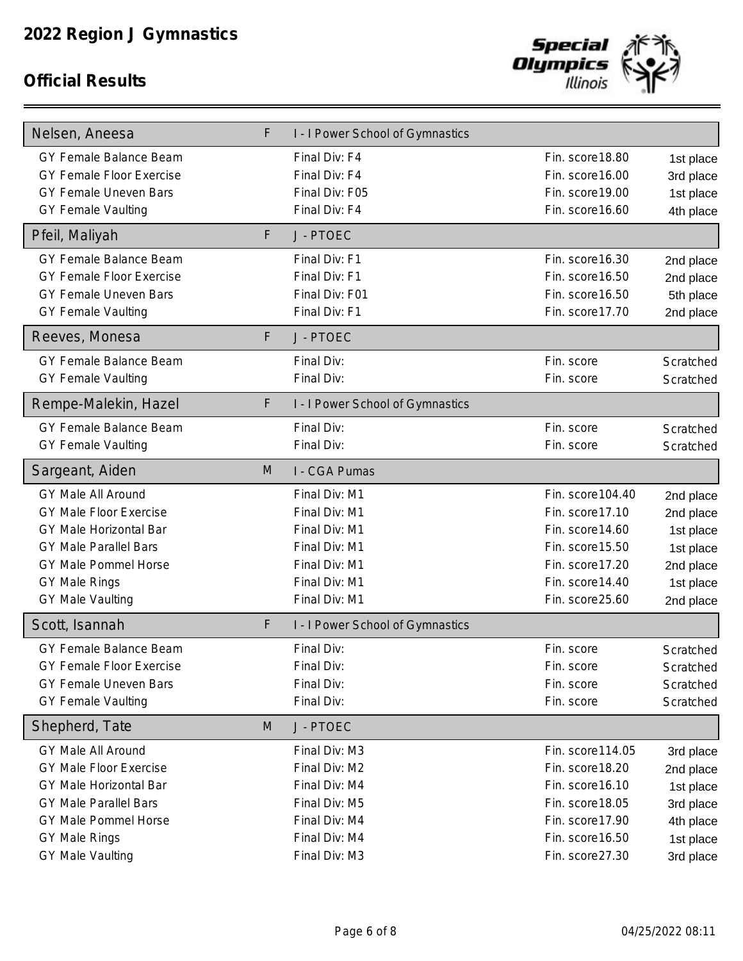

| Nelsen, Aneesa                  | F | I - I Power School of Gymnastics |                   |           |
|---------------------------------|---|----------------------------------|-------------------|-----------|
| GY Female Balance Beam          |   | Final Div: F4                    | Fin. score 18.80  | 1st place |
| <b>GY Female Floor Exercise</b> |   | Final Div: F4                    | Fin. score 16.00  | 3rd place |
| <b>GY Female Uneven Bars</b>    |   | Final Div: F05                   | Fin. score 19.00  | 1st place |
| <b>GY Female Vaulting</b>       |   | Final Div: F4                    | Fin. score 16.60  | 4th place |
| Pfeil, Maliyah                  | F | J - PTOEC                        |                   |           |
| GY Female Balance Beam          |   | Final Div: F1                    | Fin. score 16.30  | 2nd place |
| <b>GY Female Floor Exercise</b> |   | Final Div: F1                    | Fin. score 16.50  | 2nd place |
| <b>GY Female Uneven Bars</b>    |   | Final Div: F01                   | Fin. score 16.50  | 5th place |
| <b>GY Female Vaulting</b>       |   | Final Div: F1                    | Fin. score 17.70  | 2nd place |
| Reeves, Monesa                  | F | J - PTOEC                        |                   |           |
| GY Female Balance Beam          |   | Final Div:                       | Fin. score        | Scratched |
| <b>GY Female Vaulting</b>       |   | Final Div:                       | Fin. score        | Scratched |
| Rempe-Malekin, Hazel            | F | I - I Power School of Gymnastics |                   |           |
| GY Female Balance Beam          |   | Final Div:                       | Fin. score        | Scratched |
| <b>GY Female Vaulting</b>       |   | Final Div:                       | Fin. score        | Scratched |
| Sargeant, Aiden                 | M | I - CGA Pumas                    |                   |           |
| GY Male All Around              |   | Final Div: M1                    | Fin. score 104.40 | 2nd place |
| <b>GY Male Floor Exercise</b>   |   | Final Div: M1                    | Fin. score 17.10  | 2nd place |
| <b>GY Male Horizontal Bar</b>   |   | Final Div: M1                    | Fin. score 14.60  | 1st place |
| <b>GY Male Parallel Bars</b>    |   | Final Div: M1                    | Fin. score 15.50  | 1st place |
| GY Male Pommel Horse            |   | Final Div: M1                    | Fin. score 17.20  | 2nd place |
| <b>GY Male Rings</b>            |   | Final Div: M1                    | Fin. score 14.40  | 1st place |
| <b>GY Male Vaulting</b>         |   | Final Div: M1                    | Fin. score25.60   | 2nd place |
| Scott, Isannah                  | F | I - I Power School of Gymnastics |                   |           |
| GY Female Balance Beam          |   | Final Div:                       | Fin. score        | Scratched |
| <b>GY Female Floor Exercise</b> |   | Final Div:                       | Fin. score        | Scratched |
| GY Female Uneven Bars           |   | Final Div:                       | Fin. score        | Scratched |
| <b>GY Female Vaulting</b>       |   | Final Div:                       | Fin. score        | Scratched |
| Shepherd, Tate                  | M | J - PTOEC                        |                   |           |
| GY Male All Around              |   | Final Div: M3                    | Fin. score 114.05 | 3rd place |
| <b>GY Male Floor Exercise</b>   |   | Final Div: M2                    | Fin. score 18.20  | 2nd place |
| GY Male Horizontal Bar          |   | Final Div: M4                    | Fin. score 16.10  | 1st place |
| <b>GY Male Parallel Bars</b>    |   | Final Div: M5                    | Fin. score 18.05  | 3rd place |
| GY Male Pommel Horse            |   | Final Div: M4                    | Fin. score17.90   | 4th place |
| <b>GY Male Rings</b>            |   | Final Div: M4                    | Fin. score 16.50  | 1st place |
| <b>GY Male Vaulting</b>         |   | Final Div: M3                    | Fin. score27.30   | 3rd place |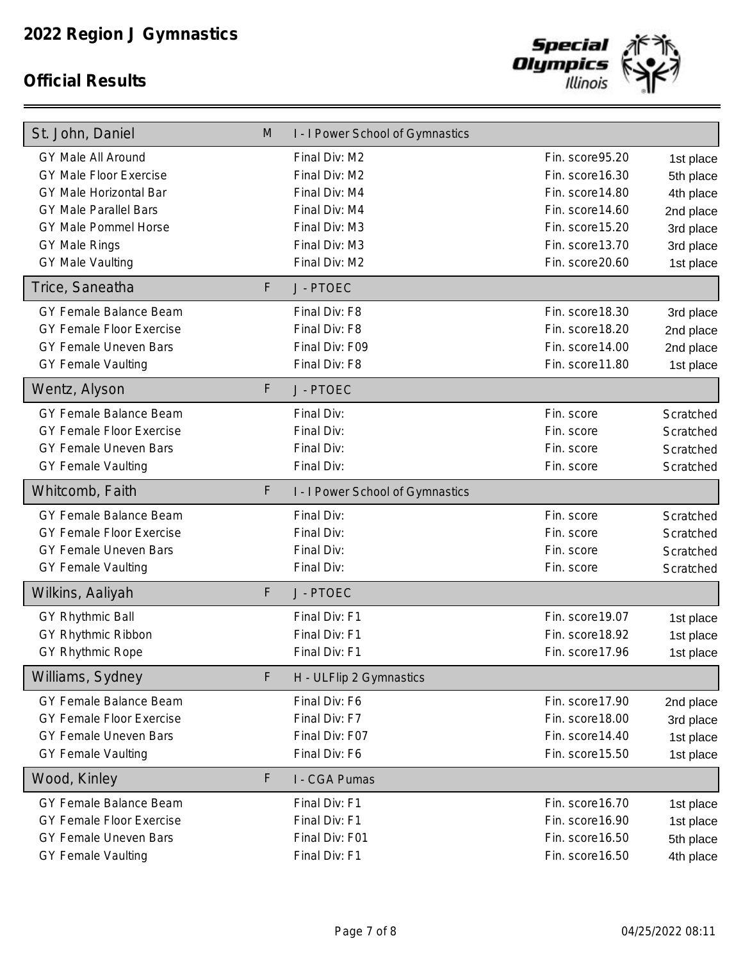

| St. John, Daniel                | M | I - I Power School of Gymnastics |                  |           |
|---------------------------------|---|----------------------------------|------------------|-----------|
| GY Male All Around              |   | Final Div: M2                    | Fin. score95.20  | 1st place |
| <b>GY Male Floor Exercise</b>   |   | Final Div: M2                    | Fin. score 16.30 | 5th place |
| GY Male Horizontal Bar          |   | Final Div: M4                    | Fin. score14.80  | 4th place |
| <b>GY Male Parallel Bars</b>    |   | Final Div: M4                    | Fin. score14.60  | 2nd place |
| GY Male Pommel Horse            |   | Final Div: M3                    | Fin. score 15.20 | 3rd place |
| <b>GY Male Rings</b>            |   | Final Div: M3                    | Fin. score13.70  | 3rd place |
| <b>GY Male Vaulting</b>         |   | Final Div: M2                    | Fin. score20.60  | 1st place |
| Trice, Saneatha                 | F | J - PTOEC                        |                  |           |
| GY Female Balance Beam          |   | Final Div: F8                    | Fin. score 18.30 | 3rd place |
| <b>GY Female Floor Exercise</b> |   | Final Div: F8                    | Fin. score 18.20 | 2nd place |
| <b>GY Female Uneven Bars</b>    |   | Final Div: F09                   | Fin. score14.00  | 2nd place |
| <b>GY Female Vaulting</b>       |   | Final Div: F8                    | Fin. score11.80  | 1st place |
| Wentz, Alyson                   | F | J - PTOEC                        |                  |           |
| <b>GY Female Balance Beam</b>   |   | Final Div:                       | Fin. score       | Scratched |
| <b>GY Female Floor Exercise</b> |   | Final Div:                       | Fin. score       | Scratched |
| <b>GY Female Uneven Bars</b>    |   | Final Div:                       | Fin. score       | Scratched |
| <b>GY Female Vaulting</b>       |   | Final Div:                       | Fin. score       | Scratched |
| Whitcomb, Faith                 | F | I - I Power School of Gymnastics |                  |           |
| GY Female Balance Beam          |   | Final Div:                       | Fin. score       | Scratched |
| <b>GY Female Floor Exercise</b> |   | Final Div:                       | Fin. score       | Scratched |
| GY Female Uneven Bars           |   | Final Div:                       | Fin. score       | Scratched |
| <b>GY Female Vaulting</b>       |   | Final Div:                       | Fin. score       | Scratched |
| Wilkins, Aaliyah                | F | J - PTOEC                        |                  |           |
| GY Rhythmic Ball                |   | Final Div: F1                    | Fin. score 19.07 | 1st place |
| GY Rhythmic Ribbon              |   | Final Div: F1                    | Fin. score 18.92 | 1st place |
| <b>GY Rhythmic Rope</b>         |   | Final Div: F1                    | Fin. score17.96  | 1st place |
| Williams, Sydney                | F | H - ULFlip 2 Gymnastics          |                  |           |
| <b>GY Female Balance Beam</b>   |   | Final Div: F6                    | Fin. score17.90  | 2nd place |
| <b>GY Female Floor Exercise</b> |   | Final Div: F7                    | Fin. score18.00  | 3rd place |
| GY Female Uneven Bars           |   | Final Div: F07                   | Fin. score 14.40 | 1st place |
| <b>GY Female Vaulting</b>       |   | Final Div: F6                    | Fin. score15.50  | 1st place |
| Wood, Kinley                    | F | I - CGA Pumas                    |                  |           |
| <b>GY Female Balance Beam</b>   |   | Final Div: F1                    | Fin. score 16.70 | 1st place |
| <b>GY Female Floor Exercise</b> |   | Final Div: F1                    | Fin. score 16.90 | 1st place |
| <b>GY Female Uneven Bars</b>    |   | Final Div: F01                   | Fin. score 16.50 | 5th place |
| <b>GY Female Vaulting</b>       |   | Final Div: F1                    | Fin. score 16.50 | 4th place |